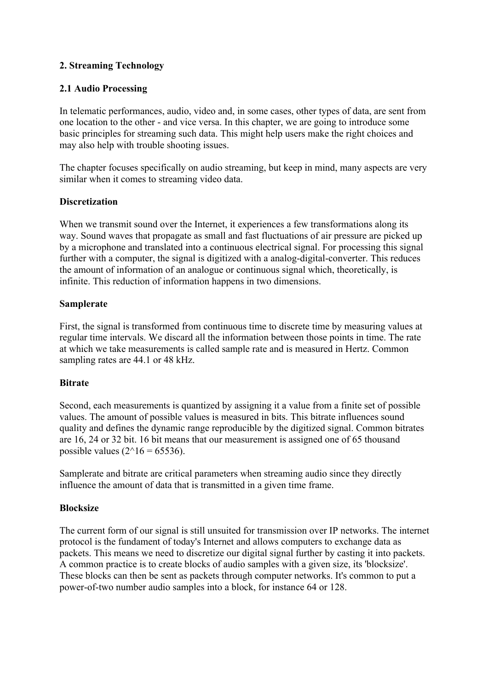## **2. Streaming Technology**

### **2.1 Audio Processing**

In telematic performances, audio, video and, in some cases, other types of data, are sent from one location to the other - and vice versa. In this chapter, we are going to introduce some basic principles for streaming such data. This might help users make the right choices and may also help with trouble shooting issues.

The chapter focuses specifically on audio streaming, but keep in mind, many aspects are very similar when it comes to streaming video data.

### **Discretization**

When we transmit sound over the Internet, it experiences a few transformations along its way. Sound waves that propagate as small and fast fluctuations of air pressure are picked up by a microphone and translated into a continuous electrical signal. For processing this signal further with a computer, the signal is digitized with a analog-digital-converter. This reduces the amount of information of an analogue or continuous signal which, theoretically, is infinite. This reduction of information happens in two dimensions.

### **Samplerate**

First, the signal is transformed from continuous time to discrete time by measuring values at regular time intervals. We discard all the information between those points in time. The rate at which we take measurements is called sample rate and is measured in Hertz. Common sampling rates are 44.1 or 48 kHz.

### **Bitrate**

Second, each measurements is quantized by assigning it a value from a finite set of possible values. The amount of possible values is measured in bits. This bitrate influences sound quality and defines the dynamic range reproducible by the digitized signal. Common bitrates are 16, 24 or 32 bit. 16 bit means that our measurement is assigned one of 65 thousand possible values  $(2^{\wedge}16 = 65536)$ .

Samplerate and bitrate are critical parameters when streaming audio since they directly influence the amount of data that is transmitted in a given time frame.

### **Blocksize**

The current form of our signal is still unsuited for transmission over IP networks. The internet protocol is the fundament of today's Internet and allows computers to exchange data as packets. This means we need to discretize our digital signal further by casting it into packets. A common practice is to create blocks of audio samples with a given size, its 'blocksize'. These blocks can then be sent as packets through computer networks. It's common to put a power-of-two number audio samples into a block, for instance 64 or 128.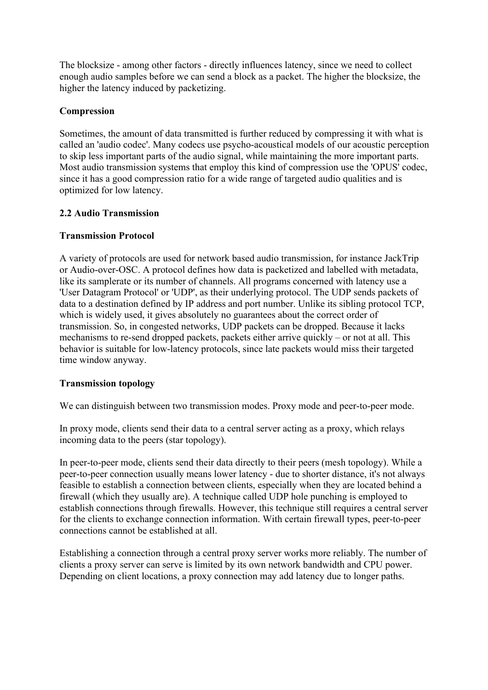The blocksize - among other factors - directly influences latency, since we need to collect enough audio samples before we can send a block as a packet. The higher the blocksize, the higher the latency induced by packetizing.

#### **Compression**

Sometimes, the amount of data transmitted is further reduced by compressing it with what is called an 'audio codec'. Many codecs use psycho-acoustical models of our acoustic perception to skip less important parts of the audio signal, while maintaining the more important parts. Most audio transmission systems that employ this kind of compression use the 'OPUS' codec, since it has a good compression ratio for a wide range of targeted audio qualities and is optimized for low latency.

### **2.2 Audio Transmission**

### **Transmission Protocol**

A variety of protocols are used for network based audio transmission, for instance JackTrip or Audio-over-OSC. A protocol defines how data is packetized and labelled with metadata, like its samplerate or its number of channels. All programs concerned with latency use a 'User Datagram Protocol' or 'UDP', as their underlying protocol. The UDP sends packets of data to a destination defined by IP address and port number. Unlike its sibling protocol TCP, which is widely used, it gives absolutely no guarantees about the correct order of transmission. So, in congested networks, UDP packets can be dropped. Because it lacks mechanisms to re-send dropped packets, packets either arrive quickly – or not at all. This behavior is suitable for low-latency protocols, since late packets would miss their targeted time window anyway.

### **Transmission topology**

We can distinguish between two transmission modes. Proxy mode and peer-to-peer mode.

In proxy mode, clients send their data to a central server acting as a proxy, which relays incoming data to the peers (star topology).

In peer-to-peer mode, clients send their data directly to their peers (mesh topology). While a peer-to-peer connection usually means lower latency - due to shorter distance, it's not always feasible to establish a connection between clients, especially when they are located behind a firewall (which they usually are). A technique called UDP hole punching is employed to establish connections through firewalls. However, this technique still requires a central server for the clients to exchange connection information. With certain firewall types, peer-to-peer connections cannot be established at all.

Establishing a connection through a central proxy server works more reliably. The number of clients a proxy server can serve is limited by its own network bandwidth and CPU power. Depending on client locations, a proxy connection may add latency due to longer paths.